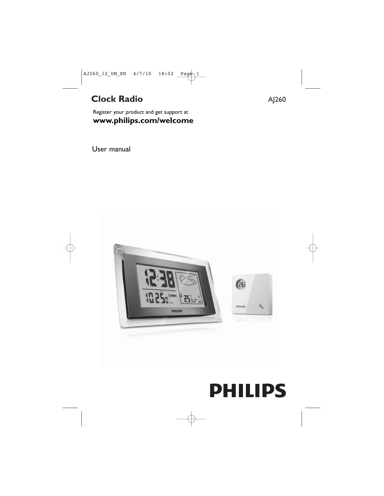# **Clock Radio** AJ260

Register your product and get support at **www.philips.com/welcome**

User manual



# **PHILIPS**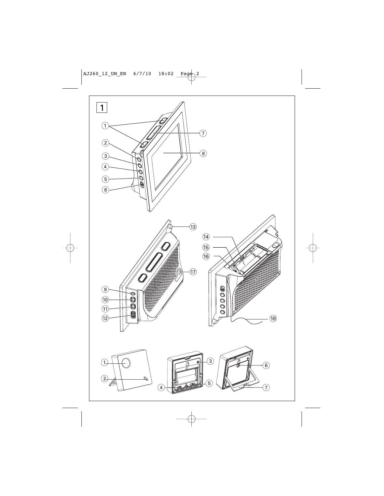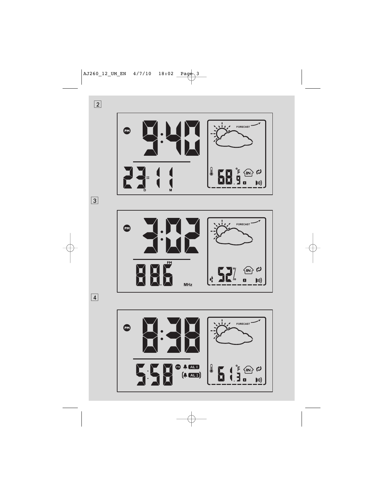



 $\boxed{2}$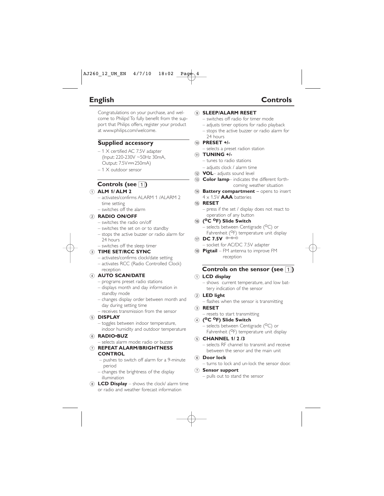# **English Controls**

Congratulations on your purchase, and welcome to Philips! To fully benefit from the support that Philips offers, register your product at www.philips.com/welcome.

## **Supplied accessory**

- 1 X certified AC 7.5V adapter (Input: 220-230V ~50Hz 30mA, Output: 7.5V = - 250mA)
- 1 X outdoor sensor

# **Controls (see 1)**

#### 1 **ALM 1/ ALM 2**

- activates/confirms ALARM 1 /ALARM 2 time setting
- switches off the alarm

#### 2 **RADIO ON/OFF**

- switches the radio on/off
- switches the set on or to standby
- stops the active buzzer or radio alarm for 24 hours
- switches off the sleep timer

#### 3 **TIME SET/RCC SYNC**

- activates/confirms clock/date setting
- activates RCC (Radio Controlled Clock) reception

#### 4 **AUTO SCAN/DATE**

- programs preset radio stations
- displays month and day information in standby mode
- changes display order between month and day during setting time
- receives transmission from the sensor

#### 5 **DISPLAY**

- toggles between indoor temperature, indoor humidity and outdoor temperature
- 6 **RADIO•BUZ**
	- selects alarm mode: radio or buzzer

#### 7 **REPEAT ALARM/BRIGHTNESS CONTROL**

- pushes to switch off alarm for a 9-minute period
- changes the brightness of the display illumination
- $\overline{8}$  **LCD Display** shows the clock/ alarm time or radio and weather forecast information

#### **6 SLEEP/ΔLARM RESET**

- switches off radio for timer mode
- adjusts timer options for radio playback
- stops the active buzzer or radio alarm for 24 hours

#### 0 **PRESET +/-**

– selects a preset radion station

#### ! **TUNING +/-**

- tunes to radio stations
- adjusts clock / alarm time
- @ **VOL** adjusts sound level
- (i3) **Color lamp** indicates the different forthcoming weather situation
- (14) **Battery compartment** opens to insert 4 x 1.5V **AAA** batteries

#### % **RESET**

– press if the set / display does not react to operation of any button

#### ^ **(oC oF) Slide Switch**

- $-$  selects between Centigrade ( $\rm ^{O}C$ ) or Fahrenheit (<sup>O</sup>F) temperature unit display
- $\pi$  **DC 7.5V**  $\rightarrow$ – socket for AC/DC 7.5V adapter
- 18 **Pigtail** FM antenna to improve FM reception

### **Controls on the sensor (see** 1**)**

#### 1 **LCD display**

- shows current temperature, and low battery indication of the sensor
- 2 **LED light** 
	- flashes when the sensor is transmitting

#### 3 **RESET**

– resets to start transmitting

#### 4 **(oC oF) Slide Switch**

– selects between Centigrade (<sup>O</sup>C) or Fahrenheit (<sup>O</sup>F) temperature unit display

#### 5 **CHANNEL 1/ 2 /3**

- selects RF channel to transmit and receive between the senor and the main unit
- 6 **Door lock** 
	- turns to lock and un-lock the sensor door.

#### 7 **Sensor support**

– pulls out to stand the sensor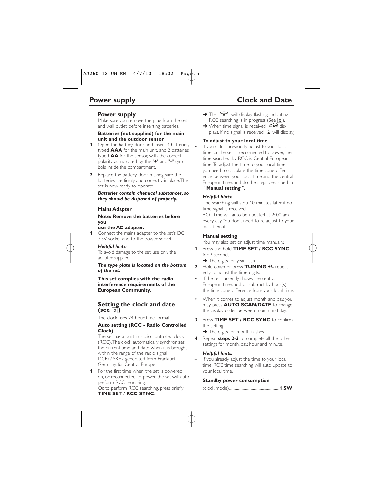#### **Power supply**

Make sure you remove the plug from the set and wall outlet before inserting batteries.

#### **Batteries (not supplied) for the main unit and the outdoor sensor**

- **1** Open the battery door and insert 4 batteries, typed **AAA** for the main unit, and 2 batteries typed **AA** for the sensor, with the correct polarity as indicated by the "**+**" and "**–**" symbols inside the compartment.
- **2** Replace the battery door, making sure the batteries are firmly and correctly in place.The set is now ready to operate.

#### *Batteries contain chemical substances, so they should be disposed of properly.*

#### **Mains Adapter**.

#### **Note: Remove the batteries before you**

#### **use the AC adapter.**

**1** Connect the mains adapter to the set's DC 7.5V socket and to the power socket.

#### *Helpful hints:*

To avoid damage to the set, use only the adapter supplied!

#### *The type plate is located on the bottom of the set.*

**This set complies with the radio interference requirements of the European Community.**

#### **Setting the clock and date (see** 2**)**

The clock uses 24-hour time format.

#### **Auto setting (RCC - Radio Controlled Clock)**

The set has a built-in radio controlled clock (RCC).The clock automatically synchronizes the current time and date when it is brought within the range of the radio signal DCF77.5KHz generated from Frankfurt, Germany, for Central Europe.

**1** For the first time when the set is powered on, or reconnected to power, the set will auto perform RCC searching.

Or, to perform RCC searching, press briefly **TIME SET / RCC SYNC**.

- → The  $\left(\hat{\mathbf{A}}\right)$  will display flashing, indicating RCC searching is in progress (See  $\overline{3}$ ).
- → When time signal is received,  $(n \triangleq n)$  displays. If no signal is received.  $\triangle$  will display.

#### **To adjust to your local time**

If you didn't previously adjust to your local time, or the set is reconnected to power, the time searched by RCC is Central European time.To adjust the time to your local time, you need to calculate the time zone difference between your local time and the central European time, and do the steps described in " **Manual setting** ".

#### *Helpful hints:*

- The searching will stop 10 minutes later if no time signal is received.
- RCC time will auto be updated at 2:00 am every day.You don't need to re-adjust to your local time if

#### **Manual setting**

You may also set or adjust time manually.

- **1** Press and hold **TIME SET / RCC SYNC** for 2 seconds.
	- $\rightarrow$  The digits for year flash.
- **2** Hold down or press **TUNING +/-** repeatedly to adjust the time digits.
- If the set currently shows the central European time, add or subtract by hour(s) the time zone difference from your local time.
- When it comes to adjust month and day, you may press **AUTO SCAN/DATE** to change the display order between month and day.
- **3** Press **TIME SET / RCC SYNC** to confirm the setting.

 $\rightarrow$  The digits for month flashes.

**4** Repeat **steps 2-3** to complete all the other settings for month, day, hour and minute.

#### *Helpful hints:*

If you already adjust the time to your local time, RCC time searching will auto update to your local time.

#### **Standby power consumption**

|--|--|--|--|--|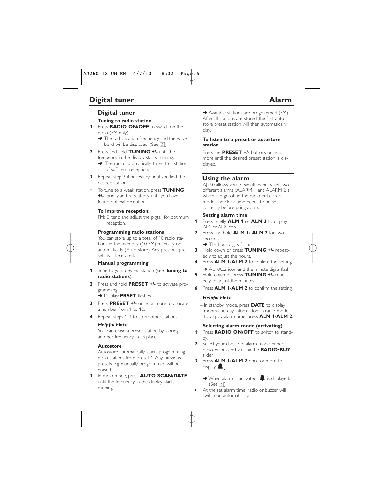# **Digital tuner**

#### **Tuning to radio station**

- **1** Press **RADIO ON/OFF** to switch on the radio (FM only).
	- $\rightarrow$  The radio station frequency and the waveband will be displayed. (See  $\overline{3}$ ).
- **2** Press and hold **TUNING +/-** until the frequency in the display starts running.
	- $\rightarrow$  The radio automatically tunes to a station of sufficient reception.
- **3** Repeat step 2 if necessary until you find the desired station.
- To tune to a weak station, press **TUNING +/-** briefly and repeatedly until you have found optimal reception.

#### **To improve reception:**

FM: Extend and adjust the pigtail for optimum reception.

#### **Programming radio stations**

You can store up to a total of 10 radio stations in the memory (10 FM) manually or automatically (Auto store). Any previous presets will be erased.

#### **Manual programming**

- **1** Tune to your desired station (see **Tuning to radio stations**).
- **2** Press and hold **PRESET +/-** to activate programming.

➜ Display: **PRSET** flashes.

- **3** Press **PRESET +/-** once or more to allocate a number from 1 to 10.
- **4** Repeat steps 1-3 to store other stations.

#### *Helpful hints:*

You can erase a preset station by storing another frequency in its place.

#### **Autostore**

Autostore automatically starts programming radio stations from preset 1. Any previous presets e.g. manually programmed will be erased.

**1** In radio mode, press **AUTO SCAN/DATE** until the frequency in the display starts running.

**→** Available stations are programmed (FM). After all stations are stored, the first autostore preset station will then automatically play.

#### **To listen to a preset or autostore station**

Press the **PRESET +/-** buttons once or more until the desired preset station is displayed.

# **Using the alarm**

AJ260 allows you to simultaneously set two different alarms (ALARM 1 and ALARM 2 ) which can go off in the radio or buzzer mode.The clock time needs to be set correctly before using alarm.

#### **Setting alarm time**

- **1** Press briefly **ALM 1** or **ALM 2** to display AL1 or AL2  $i$ con.
- **2** Press and hold **ALM 1**/ **ALM 2** for two seconds.
	- → The hour digits flash.
- **3** Hold down or press **TUNING +/-** repeatedly to adjust the hours.
- **4** Press **ALM 1**/**ALM 2** to confirm the setting.
- **→** AL1/AL2 icon and the minute digits flash. **5** Hold down or press **TUNING +/-** repeatedly to adjust the minutes.
- **6** Press **ALM 1**/**ALM 2** to confirm the setting.

#### *Helpful hints:*

– In standby mode, press **DATE** to display month and day information. In radio mode, to display alarm time, press **ALM 1**/**ALM 2**.

#### **Selecting alarm mode (activating)**

- **1** Press **RADIO ON/OFF** to switch to standby.
- **2** Select your choice of alarm mode: either radio, or buzzer by using the **RADIO•BUZ** slider.
- **3** Press **ALM 1**/**ALM 2** once or more to display  $\blacksquare$ 
	- $\rightarrow$  When alarm is activated,  $\blacksquare$  is displayed.  $(See | 4)$ ).
- **•** At the set alarm time, radio or buzzer will switch on automatically.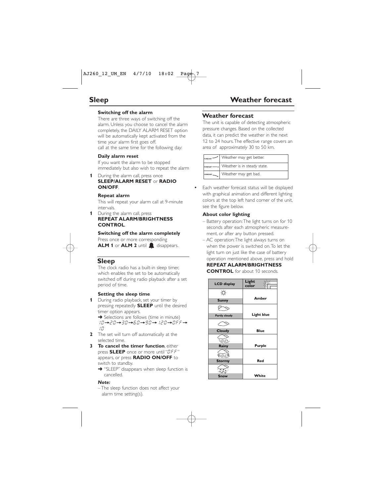#### **Switching off the alarm**

There are three ways of switching off the alarm. Unless you choose to cancel the alarm completely, the DAILY ALARM RESET option will be automatically kept activated from the time your alarm first goes off.

call at the same time for the following day:

#### **Daily alarm reset**

If you want the alarm to be stopped immediately but also wish to repeat the alarm

**1** During the alarm call, press once

#### **SLEEP/ALARM RESET** or **RADIO ON/OFF**.

#### **Repeat alarm**

This will repeat your alarm call at 9-minute intervals.

**1** During the alarm call, press **REPEAT ALARM/BRIGHTNESS CONTROL**.

#### **Switching off the alarm completely**

Press once or more corresponding **ALM 1** or **ALM 2** until **disappears.** 

# **Sleep**

The clock radio has a built-in sleep timer, which enables the set to be automatically switched off during radio playback after a set period of time.

#### **Setting the sleep time**

**1** During radio playback, set your timer by pressing repeatedly **SLEEP** until the desired timer option appears.

**→** Selections are follows (time in minute)  $10 \rightarrow 20 \rightarrow 30 \rightarrow 60 \rightarrow 90 \rightarrow 120 \rightarrow 0$ FF $\rightarrow$ 10

- **2** The set will turn off automatically at the selected time.
- **3 To cancel the timer function**, either press **SLEEP** once or more until "OFF" appears, or press **RADIO ON/OFF** to switch to standby.
	- → "SLEEP" disappears when sleep function is cancelled.

#### *Note:*

– The sleep function does not affect your alarm time setting(s).

# **Weather forecast**

The unit is capable of detecting atmospheric pressure changes. Based on the collected data, it can predict the weather in the next 12 to 24 hours.The effective range covers an area of approximately 30 to 50 km.

| $I_{\rm FORECAST}$ | Weather may get better.                  |
|--------------------|------------------------------------------|
|                    | roRECAST- -  Weather is in steady state. |
| FORECAST           | Weather may get bad.                     |

**•** Each weather forecast status will be displayed with graphical animation and different lighting colors at the top left hand corner of the unit, see the figure below.

#### **About color lighting**

- Battery operation:The light turns on for 10 seconds after each atmospheric measurement, or after any button pressed.
- AC operation:The light always turns on when the power is switched on.To let the light turn on just like the case of battery operation mentioned above, press and hold

#### **REPEAT ALARM/BRIGHTNESS**

**CONTROL** for about 10 seconds.

| <b>LCD</b> display   | Light<br>color    |  |
|----------------------|-------------------|--|
|                      |                   |  |
| <b>Sunny</b>         | Amber             |  |
|                      |                   |  |
| <b>Partly cloudy</b> | <b>Light blue</b> |  |
|                      |                   |  |
| Cloudy               | <b>Blue</b>       |  |
| <b>SALES</b>         |                   |  |
| Rainy                | Purple            |  |
| 確信                   |                   |  |
| <b>Stormy</b>        | Red               |  |
|                      |                   |  |
| Snow                 | White             |  |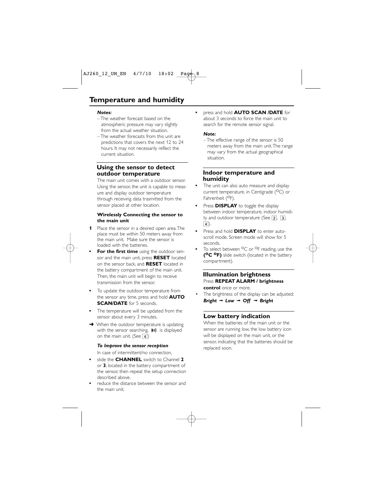#### *Notes:*

- The weather forecast based on the atmospheric pressure may vary slightly from the actual weather situation.
- The weather forecasts from this unit are predictions that covers the next 12 to 24 hours. It may not necessarily reflect the current situation.

### **Using the sensor to detect outdoor temperature**

The main unit comes with a outdoor sensor. Using the sensor the unit is capable to measure and display outdoor temperature through receiving data trasmitted from the sensor placed at other location.

#### **Wirelessly Connecting the sensor to the main unit**

- **1** Place the sensor in a desired open area.The place must be within 50 meters away from the main unit. Make sure the sensor is loaded with the batteries.
- **For the first time** using the outdoor sensor and the main unit, press **RESET** located on the sensor back, and **RESET** located in the battery compartment of the main unit. Then, the main unit will begin to receive transmission from the sensor.
- **•** To update the outdoor temperature from the sensor any time, press and hold **AUTO SCAN/DATE** for 5 seconds.
- **•** The temperature will be updated from the sensor about every 3 minutes.
- $\rightarrow$  When the outdoor temperature is updating with the sensor searching,  $\ket{m}$  is displayed on the main unit. (See  $\boxed{4}$ )

#### *To Improve the sensor reception*

In case of intermittent/no connection,

- **•** slide the **CHANNEL** switch to Channel **2** or **3**, located in the battery compartment of the sensor, then repeat the setup connection described above.
- **•** reduce the distance between the sensor and the main unit.

**•** press and hold **AUTO SCAN /DATE** for about 3 seconds to force the main unit to search for the remote sensor signal.

#### *Note:*

– The effective range of the sensor is 50 meters away from the main unit.The range may vary from the actual geographical situation.

#### **Indoor temperature and humidity**

- **•** The unit can also auto measure and display current temperature. in Centigrade  $(^{0}C)$  or Fahrenheit (<sup>O</sup>F).
- **•** Press **DISPLAY** to toggle the display between indoor temperature, indoor humidity and outdoor temperature (See  $\overline{2}$ ,  $\overline{3}$ ,  $\boxed{4}$ ).
- **•** Press and hold **DISPLAY** to enter autoscroll mode. Screen mode will show for 5 seconds.
- To select between <sup>O</sup>C or <sup>O</sup>F reading, use the **(oC oF)** slide switch (located in the battery compartment).

#### **Illumination brightness**  Press **REPEAT ALARM / brightness control** once or more.

The brightness of the display can be adjusted: *Bright*  $→ Low → Off → Bright$ 

# **Low battery indication**

When the batteries of the main unit or the sensor are running low, the low battery icon will be displayed on the main unit, or the sensor, indicating that the batteries should be replaced soon.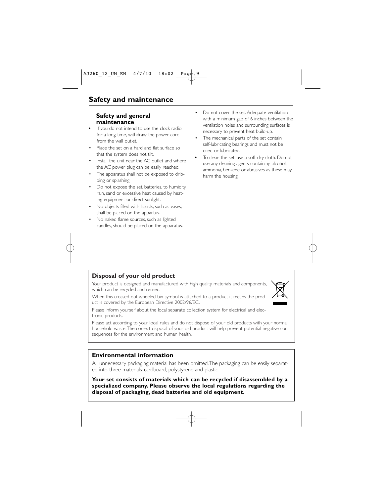## **Safety and general maintenance**

- **•** If you do not intend to use the clock radio for a long time, withdraw the power cord from the wall outlet.
- Place the set on a hard and flat surface so that the system does not tilt.
- Install the unit near the AC outlet and where the AC power plug can be easily reached.
- The apparatus shall not be exposed to dripping or splashing
- Do not expose the set, batteries, to humidity, rain, sand or excessive heat caused by heating equipment or direct sunlight.
- No objects filled with liquids, such as vases, shall be placed on the appartus.
- No naked flame sources, such as lighted candles, should be placed on the apparatus.
- Do not cover the set. Adequate ventilation with a minimum gap of 6 inches between the ventilation holes and surrounding surfaces is necessary to prevent heat build-up.
- The mechanical parts of the set contain self-lubricating bearings and must not be oiled or lubricated.
- **•** To clean the set, use a soft dry cloth. Do not use any cleaning agents containing alcohol, ammonia, benzene or abrasives as these may harm the housing.

# **Disposal of your old product**

Your product is designed and manufactured with high quality materials and components, which can be recycled and reused.

When this crossed-out wheeled bin symbol is attached to a product it means the product is covered by the European Directive 2002/96/EC.



Please inform yourself about the local separate collection system for electrical and electronic products.

Please act according to your local rules and do not dispose of your old products with your normal household waste.The correct disposal of your old product will help prevent potential negative consequences for the environment and human health.

### **Environmental information**

All unnecessary packaging material has been omitted.The packaging can be easily separated into three materials: cardboard, polystyrene and plastic.

**Your set consists of materials which can be recycled if disassembled by a specialized company. Please observe the local regulations regarding the disposal of packaging, dead batteries and old equipment.**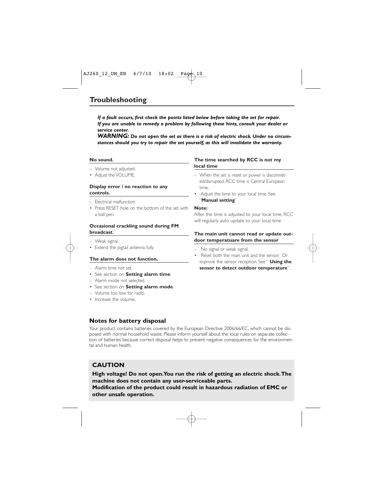*If a fault occurs, first check the points listed below before taking the set for repair. If you are unable to remedy a problem by following these hints, consult your dealer or service center.*

*WARNING: Do not open the set as there is a risk of electric shock. Under no circumstances should you try to repair the set yourself, as this will invalidate the warranty.*

#### **No sound.**

- Volume not adjusted.
- Adjust the VOLUME.

#### **Display error / no reaction to any controls.**

- Electrical malfunction
- Press RESET hole on the bottom of the set with a ball pen.

#### **Occasional crackling sound during FM broadcast.**

- Weak signal.
- Extend the pigtail antenna fully.

#### **The alarm does not function.**

- Alarm time not set.
- See section on **Setting alarm time**.
- Alarm mode not selected.
- See section on **Setting alarm mode**.
- Volume too low for radio.
- Increase the volume.

# **Notes for battery disposal**

Your product contains batteries covered by the European Directive 2006/66/EC, which cannot be disposed with normal household waste. Please inform yourself about the local rules on separate collection of batteries because correct disposal helps to prevent negative consequences for the environmental and human health.

# **CAUTION**

**High voltage! Do not open.You run the risk of getting an electric shock.The machine does not contain any user-serviceable parts. Modification of the product could result in hazardous radiation of EMC or other unsafe operation.**

#### **The time searched by RCC is not my local time**

- When the set is reset or power is disconneted/disrupted, RCC time is Central European time.
- Adjust the time to your local time. See "**Manual setting**"

#### **Note:**

After the time is adjusted to your local time, RCC will regularly auto update to your local time

#### **The main unit cannot read or update outdoor temperatuare from the sensor**

- No signal or weak signal.
- Reset both the main unit and the sensor. Or improve the sensor reception. See " **Using the sensor to detect outdoor temperature**".